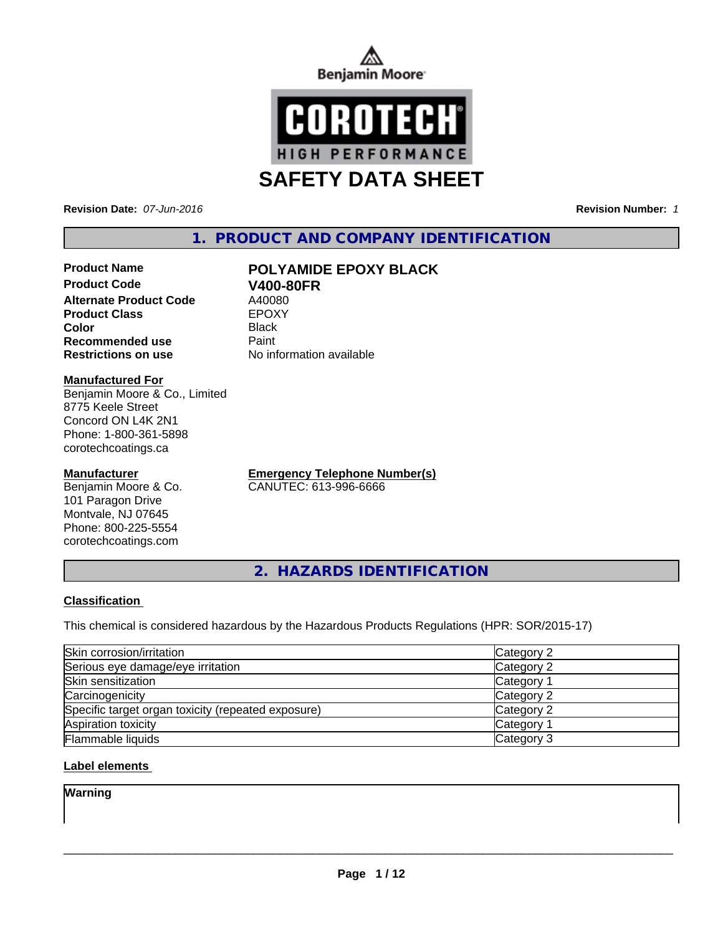



**Revision Date:** *07-Jun-2016* **Revision Number:** *1*

# **1. PRODUCT AND COMPANY IDENTIFICATION**

## **Product Name POLYAMIDE EPOXY BLACK Product Code V400-80FR**<br> **Alternate Product Code** A40080 **Alternate Product Code** A40080<br> **Product Class** EPOXY **Product Class Color** Black **Recommended use Paint Restrictions on use** No information available

**Manufactured For**

Benjamin Moore & Co., Limited 8775 Keele Street Concord ON L4K 2N1 Phone: 1-800-361-5898 corotechcoatings.ca

## **Manufacturer**

Benjamin Moore & Co. 101 Paragon Drive Montvale, NJ 07645 Phone: 800-225-5554 corotechcoatings.com

**Emergency Telephone Number(s)** CANUTEC: 613-996-6666

**2. HAZARDS IDENTIFICATION**

# **Classification**

This chemical is considered hazardous by the Hazardous Products Regulations (HPR: SOR/2015-17)

| Skin corrosion/irritation                          | Category 2            |
|----------------------------------------------------|-----------------------|
| Serious eye damage/eye irritation                  | Category 2            |
| Skin sensitization                                 | Category <sup>1</sup> |
| Carcinogenicity                                    | Category 2            |
| Specific target organ toxicity (repeated exposure) | Category 2            |
| Aspiration toxicity                                | Category <sup>2</sup> |
| <b>Flammable liquids</b>                           | Category 3            |

# **Label elements**

**Warning**

 $\overline{\phantom{a}}$  ,  $\overline{\phantom{a}}$  ,  $\overline{\phantom{a}}$  ,  $\overline{\phantom{a}}$  ,  $\overline{\phantom{a}}$  ,  $\overline{\phantom{a}}$  ,  $\overline{\phantom{a}}$  ,  $\overline{\phantom{a}}$  ,  $\overline{\phantom{a}}$  ,  $\overline{\phantom{a}}$  ,  $\overline{\phantom{a}}$  ,  $\overline{\phantom{a}}$  ,  $\overline{\phantom{a}}$  ,  $\overline{\phantom{a}}$  ,  $\overline{\phantom{a}}$  ,  $\overline{\phantom{a}}$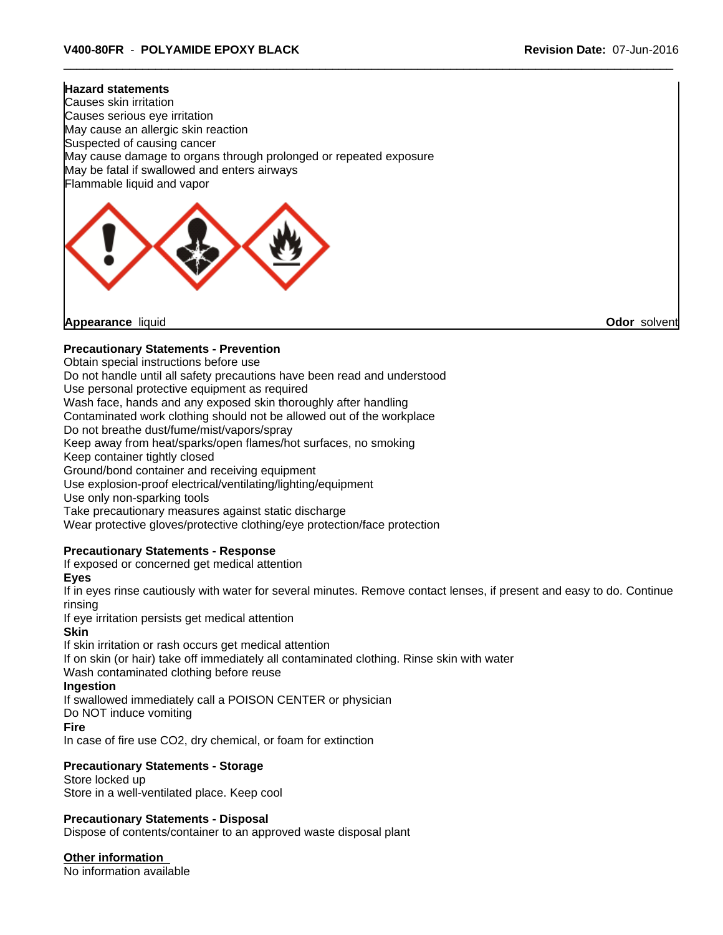#### **Hazard statements**

Causes skin irritation Causes serious eye irritation May cause an allergic skin reaction Suspected of causing cancer May cause damage to organs through prolonged or repeated exposure May be fatal if swallowed and enters airways Flammable liquid and vapor



**Appearance** liquid **Odor** solvent

## **Precautionary Statements - Prevention**

Obtain special instructions before use

Do not handle until all safety precautions have been read and understood

Use personal protective equipment as required

Wash face, hands and any exposed skin thoroughly after handling

Contaminated work clothing should not be allowed out of the workplace

Do not breathe dust/fume/mist/vapors/spray

Keep away from heat/sparks/open flames/hot surfaces, no smoking

Keep container tightly closed

Ground/bond container and receiving equipment

Use explosion-proof electrical/ventilating/lighting/equipment

Use only non-sparking tools

Take precautionary measures against static discharge

Wear protective gloves/protective clothing/eye protection/face protection

# **Precautionary Statements - Response**

If exposed or concerned get medical attention

**Eyes**

If in eyes rinse cautiously with water for several minutes. Remove contact lenses, if present and easy to do. Continue rinsing

If eye irritation persists get medical attention

#### **Skin**

If skin irritation or rash occurs get medical attention If on skin (or hair) take off immediately all contaminated clothing. Rinse skin with water Wash contaminated clothing before reuse

# **Ingestion**

If swallowed immediately call a POISON CENTER or physician

Do NOT induce vomiting

#### **Fire**

In case of fire use CO2, dry chemical, or foam for extinction

# **Precautionary Statements - Storage**

Store locked up Store in a well-ventilated place. Keep cool

# **Precautionary Statements - Disposal**

Dispose of contents/container to an approved waste disposal plant

**Other information**

No information available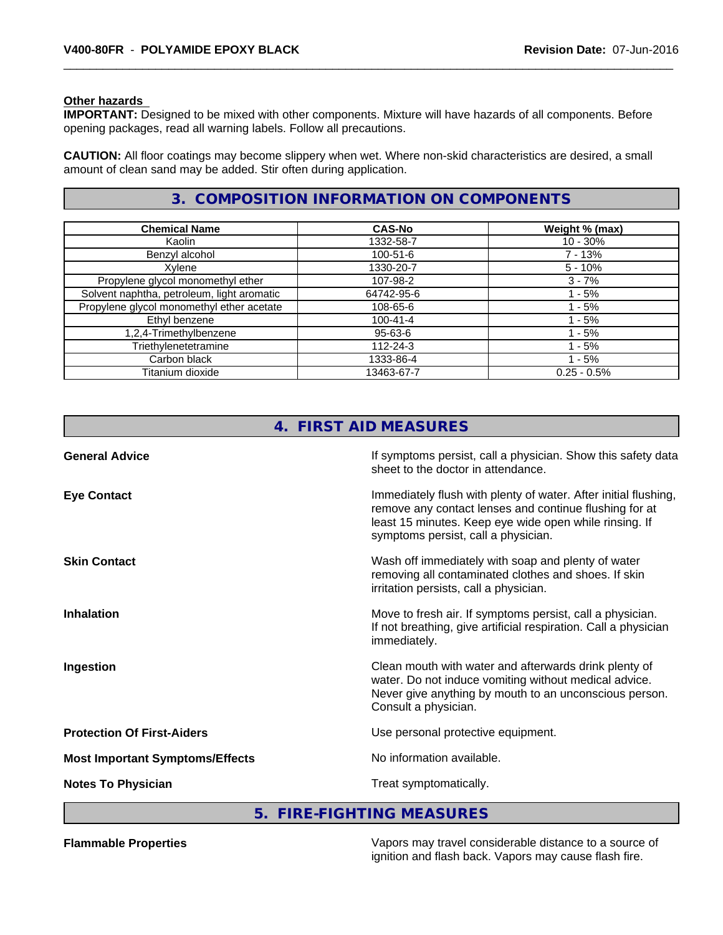#### **Other hazards**

**IMPORTANT:** Designed to be mixed with other components. Mixture will have hazards of all components. Before opening packages, read all warning labels. Follow all precautions.

**CAUTION:** All floor coatings may become slippery when wet. Where non-skid characteristics are desired, a small amount of clean sand may be added. Stir often during application.

# **3. COMPOSITION INFORMATION ON COMPONENTS**

| <b>Chemical Name</b>                       | <b>CAS-No</b>  | Weight % (max) |
|--------------------------------------------|----------------|----------------|
| Kaolin                                     | 1332-58-7      | $10 - 30\%$    |
| Benzyl alcohol                             | $100 - 51 - 6$ | 7 - 13%        |
| Xylene                                     | 1330-20-7      | $5 - 10%$      |
| Propylene glycol monomethyl ether          | 107-98-2       | $3 - 7%$       |
| Solvent naphtha, petroleum, light aromatic | 64742-95-6     | - 5%           |
| Propylene glycol monomethyl ether acetate  | 108-65-6       | $-5%$          |
| Ethyl benzene                              | 100-41-4       | - 5%           |
| 1,2,4-Trimethylbenzene                     | 95-63-6        | $-5%$          |
| Triethylenetetramine                       | 112-24-3       | - 5%           |
| Carbon black                               | 1333-86-4      | - 5%           |
| Titanium dioxide                           | 13463-67-7     | $0.25 - 0.5%$  |

|                                        | 4. FIRST AID MEASURES                                                                                                                                                                                                      |
|----------------------------------------|----------------------------------------------------------------------------------------------------------------------------------------------------------------------------------------------------------------------------|
| <b>General Advice</b>                  | If symptoms persist, call a physician. Show this safety data<br>sheet to the doctor in attendance.                                                                                                                         |
| <b>Eye Contact</b>                     | Immediately flush with plenty of water. After initial flushing,<br>remove any contact lenses and continue flushing for at<br>least 15 minutes. Keep eye wide open while rinsing. If<br>symptoms persist, call a physician. |
| <b>Skin Contact</b>                    | Wash off immediately with soap and plenty of water<br>removing all contaminated clothes and shoes. If skin<br>irritation persists, call a physician.                                                                       |
| <b>Inhalation</b>                      | Move to fresh air. If symptoms persist, call a physician.<br>If not breathing, give artificial respiration. Call a physician<br>immediately.                                                                               |
| Ingestion                              | Clean mouth with water and afterwards drink plenty of<br>water. Do not induce vomiting without medical advice.<br>Never give anything by mouth to an unconscious person.<br>Consult a physician.                           |
| <b>Protection Of First-Aiders</b>      | Use personal protective equipment.                                                                                                                                                                                         |
| <b>Most Important Symptoms/Effects</b> | No information available.                                                                                                                                                                                                  |
| <b>Notes To Physician</b>              | Treat symptomatically.                                                                                                                                                                                                     |

# **5. FIRE-FIGHTING MEASURES**

**Flammable Properties** Vapors may travel considerable distance to a source of ignition and flash back. Vapors may cause flash fire.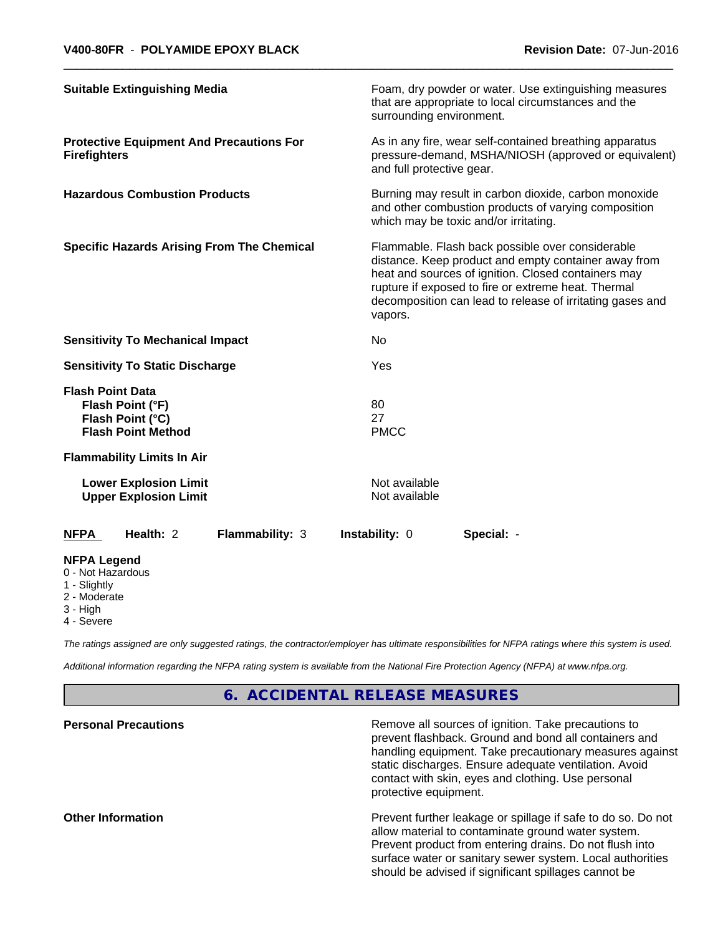| <b>Suitable Extinguishing Media</b>                                                          |                 | surrounding environment.       | Foam, dry powder or water. Use extinguishing measures<br>that are appropriate to local circumstances and the                                                                                                                                                                        |  |
|----------------------------------------------------------------------------------------------|-----------------|--------------------------------|-------------------------------------------------------------------------------------------------------------------------------------------------------------------------------------------------------------------------------------------------------------------------------------|--|
| <b>Protective Equipment And Precautions For</b><br><b>Firefighters</b>                       |                 | and full protective gear.      | As in any fire, wear self-contained breathing apparatus<br>pressure-demand, MSHA/NIOSH (approved or equivalent)                                                                                                                                                                     |  |
| <b>Hazardous Combustion Products</b>                                                         |                 |                                | Burning may result in carbon dioxide, carbon monoxide<br>and other combustion products of varying composition<br>which may be toxic and/or irritating.                                                                                                                              |  |
| <b>Specific Hazards Arising From The Chemical</b>                                            |                 | vapors.                        | Flammable. Flash back possible over considerable<br>distance. Keep product and empty container away from<br>heat and sources of ignition. Closed containers may<br>rupture if exposed to fire or extreme heat. Thermal<br>decomposition can lead to release of irritating gases and |  |
| <b>Sensitivity To Mechanical Impact</b>                                                      |                 | No.                            |                                                                                                                                                                                                                                                                                     |  |
| <b>Sensitivity To Static Discharge</b>                                                       |                 | Yes                            |                                                                                                                                                                                                                                                                                     |  |
| <b>Flash Point Data</b><br>Flash Point (°F)<br>Flash Point (°C)<br><b>Flash Point Method</b> |                 | 80<br>27<br><b>PMCC</b>        |                                                                                                                                                                                                                                                                                     |  |
| <b>Flammability Limits In Air</b>                                                            |                 |                                |                                                                                                                                                                                                                                                                                     |  |
| <b>Lower Explosion Limit</b><br><b>Upper Explosion Limit</b>                                 |                 | Not available<br>Not available |                                                                                                                                                                                                                                                                                     |  |
| Health: 2<br><b>NFPA</b>                                                                     | Flammability: 3 | Instability: 0                 | Special: -                                                                                                                                                                                                                                                                          |  |
| <b>NFPA Legend</b><br>0 - Not Hazardous<br>1 - Slightly<br>2 - Moderate                      |                 |                                |                                                                                                                                                                                                                                                                                     |  |

- 
- 3 High

4 - Severe

*The ratings assigned are only suggested ratings, the contractor/employer has ultimate responsibilities for NFPA ratings where this system is used.*

*Additional information regarding the NFPA rating system is available from the National Fire Protection Agency (NFPA) at www.nfpa.org.*

# **6. ACCIDENTAL RELEASE MEASURES**

| <b>Personal Precautions</b> | Remove all sources of ignition. Take precautions to<br>prevent flashback. Ground and bond all containers and<br>handling equipment. Take precautionary measures against<br>static discharges. Ensure adequate ventilation. Avoid<br>contact with skin, eyes and clothing. Use personal<br>protective equipment. |
|-----------------------------|-----------------------------------------------------------------------------------------------------------------------------------------------------------------------------------------------------------------------------------------------------------------------------------------------------------------|
| <b>Other Information</b>    | Prevent further leakage or spillage if safe to do so. Do not<br>allow material to contaminate ground water system.<br>Prevent product from entering drains. Do not flush into<br>surface water or sanitary sewer system. Local authorities<br>should be advised if significant spillages cannot be              |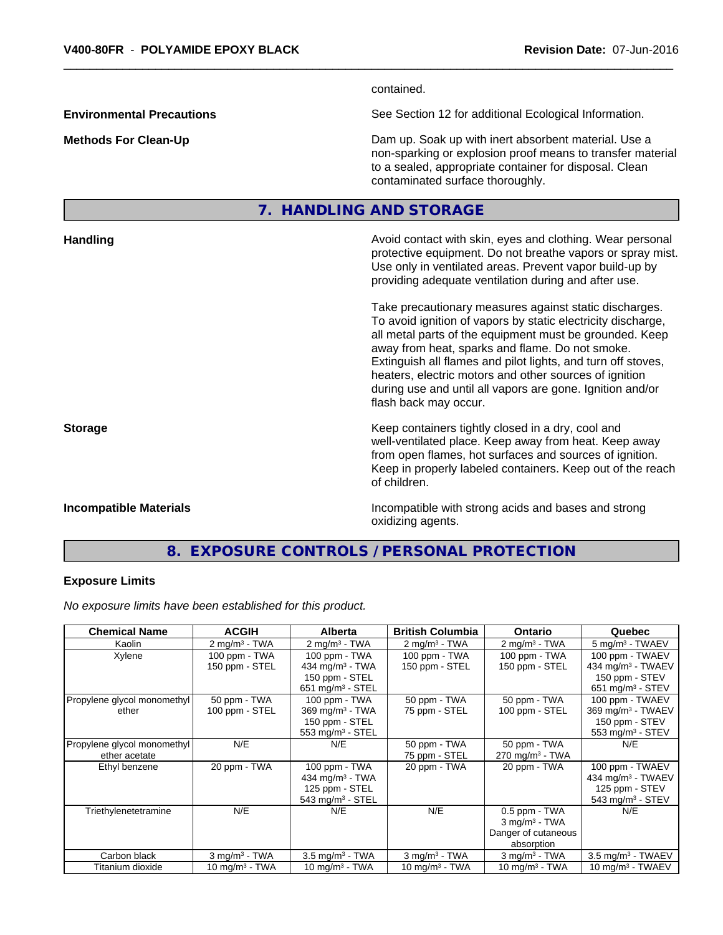contained. **Environmental Precautions** See Section 12 for additional Ecological Information. **Methods For Clean-Up Clean-Up Example 20** Dam up. Soak up with inert absorbent material. Use a non-sparking or explosion proof means to transfer material to a sealed, appropriate container for disposal. Clean contaminated surface thoroughly. **7. HANDLING AND STORAGE Handling Handling Avoid contact with skin, eyes and clothing. Wear personal and results and clothing. Wear personal** protective equipment. Do not breathe vapors or spray mist. Use only in ventilated areas. Prevent vapor build-up by providing adequate ventilation during and after use. Take precautionary measures against static discharges. To avoid ignition of vapors by static electricity discharge, all metal parts of the equipment must be grounded. Keep away from heat, sparks and flame. Do not smoke. Extinguish all flames and pilot lights, and turn off stoves, heaters, electric motors and other sources of ignition during use and until all vapors are gone. Ignition and/or flash back may occur. **Storage Keep containers tightly closed in a dry, cool and get a dry and structure in a dry and structure in a dry and structure in a dry and structure in a dry and structure in a dry and structure in a dry and structure** well-ventilated place. Keep away from heat. Keep away from open flames, hot surfaces and sources of ignition. Keep in properly labeled containers. Keep out of the reach of children.

**Incompatible Materials Incompatible with strong acids and bases and strong** oxidizing agents.

# **8. EXPOSURE CONTROLS / PERSONAL PROTECTION**

#### **Exposure Limits**

*No exposure limits have been established for this product.*

| <b>Chemical Name</b>                         | <b>ACGIH</b>                    | <b>Alberta</b>                                                                          | <b>British Columbia</b>         | <b>Ontario</b>                                                                    | Quebec                                                                                               |
|----------------------------------------------|---------------------------------|-----------------------------------------------------------------------------------------|---------------------------------|-----------------------------------------------------------------------------------|------------------------------------------------------------------------------------------------------|
| Kaolin                                       | $2 \text{ mg/m}^3$ - TWA        | $2$ mg/m <sup>3</sup> - TWA                                                             | $2 \text{ mg/m}^3$ - TWA        | $2 \text{ mg/m}^3$ - TWA                                                          | 5 mg/m <sup>3</sup> - TWAEV                                                                          |
| Xylene                                       | 100 ppm - TWA<br>150 ppm - STEL | 100 ppm - TWA<br>434 mg/m $3$ - TWA                                                     | 100 ppm - TWA<br>150 ppm - STEL | 100 ppm - TWA<br>150 ppm - STEL                                                   | 100 ppm - TWAEV<br>434 mg/m <sup>3</sup> - TWAEV                                                     |
|                                              |                                 | 150 ppm - STEL<br>651 mg/m $3$ - STEL                                                   |                                 |                                                                                   | 150 ppm - STEV<br>651 mg/m <sup>3</sup> - STEV                                                       |
| Propylene glycol monomethyl<br>ether         | 50 ppm - TWA<br>100 ppm - STEL  | 100 ppm - TWA<br>369 mg/m <sup>3</sup> - TWA<br>150 ppm - STEL<br>$553$ mg/m $3$ - STEL | 50 ppm - TWA<br>75 ppm - STEL   | 50 ppm - TWA<br>100 ppm - STEL                                                    | 100 ppm - TWAEV<br>$369$ mg/m <sup>3</sup> - TWAEV<br>150 ppm - STEV<br>553 mg/m <sup>3</sup> - STEV |
| Propylene glycol monomethyl<br>ether acetate | N/E                             | N/E                                                                                     | 50 ppm - TWA<br>75 ppm - STEL   | 50 ppm - TWA<br>$270$ mg/m <sup>3</sup> - TWA                                     | N/E                                                                                                  |
| Ethyl benzene                                | 20 ppm - TWA                    | 100 ppm - TWA<br>434 mg/m $3$ - TWA<br>125 ppm - STEL<br>$543$ mg/m <sup>3</sup> - STEL | 20 ppm - TWA                    | 20 ppm - TWA                                                                      | 100 ppm - TWAEV<br>434 mg/m <sup>3</sup> - TWAEV<br>125 ppm - STEV<br>$543$ mg/m <sup>3</sup> - STEV |
| Triethylenetetramine                         | N/E                             | N/E                                                                                     | N/E                             | 0.5 ppm - TWA<br>$3$ mg/m <sup>3</sup> - TWA<br>Danger of cutaneous<br>absorption | N/E                                                                                                  |
| Carbon black                                 | $3$ mg/m $3$ - TWA              | $3.5 \text{ mg/m}^3$ - TWA                                                              | $3$ mg/m <sup>3</sup> - TWA     | $3$ mg/m <sup>3</sup> - TWA                                                       | $3.5$ mg/m <sup>3</sup> - TWAEV                                                                      |
| Titanium dioxide                             | 10 mg/m $3$ - TWA               | 10 mg/m $3$ - TWA                                                                       | 10 mg/m $3$ - TWA               | 10 mg/m $3$ - TWA                                                                 | $10 \text{ mg/m}^3$ - TWAEV                                                                          |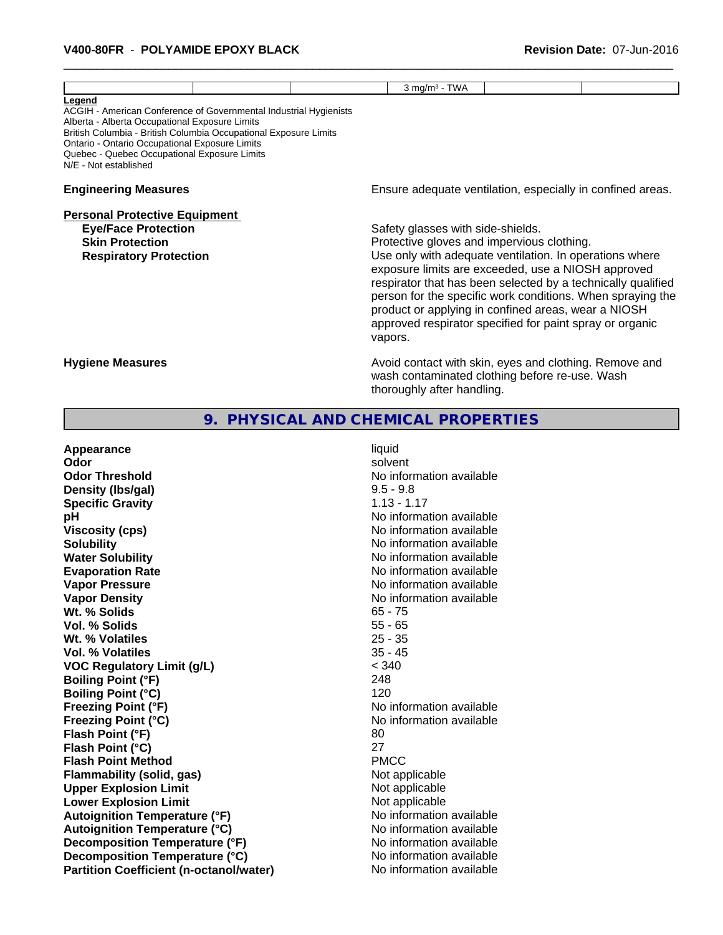|                                                                                                                                                                                                                                                                                                                              | $3$ mg/m $3$ - TWA                                                                         |                                                                                                                                                                                                                                                                                                                                                                |
|------------------------------------------------------------------------------------------------------------------------------------------------------------------------------------------------------------------------------------------------------------------------------------------------------------------------------|--------------------------------------------------------------------------------------------|----------------------------------------------------------------------------------------------------------------------------------------------------------------------------------------------------------------------------------------------------------------------------------------------------------------------------------------------------------------|
| Legend<br>ACGIH - American Conference of Governmental Industrial Hygienists<br>Alberta - Alberta Occupational Exposure Limits<br>British Columbia - British Columbia Occupational Exposure Limits<br>Ontario - Ontario Occupational Exposure Limits<br>Quebec - Quebec Occupational Exposure Limits<br>N/E - Not established |                                                                                            |                                                                                                                                                                                                                                                                                                                                                                |
| <b>Engineering Measures</b>                                                                                                                                                                                                                                                                                                  |                                                                                            | Ensure adequate ventilation, especially in confined areas.                                                                                                                                                                                                                                                                                                     |
| <b>Personal Protective Equipment</b><br><b>Eye/Face Protection</b><br><b>Skin Protection</b><br><b>Respiratory Protection</b>                                                                                                                                                                                                | Safety glasses with side-shields.<br>Protective gloves and impervious clothing.<br>vapors. | Use only with adequate ventilation. In operations where<br>exposure limits are exceeded, use a NIOSH approved<br>respirator that has been selected by a technically qualified<br>person for the specific work conditions. When spraying the<br>product or applying in confined areas, wear a NIOSH<br>approved respirator specified for paint spray or organic |
| <b>Hygiene Measures</b>                                                                                                                                                                                                                                                                                                      | thoroughly after handling.                                                                 | Avoid contact with skin, eyes and clothing. Remove and<br>wash contaminated clothing before re-use. Wash                                                                                                                                                                                                                                                       |
| 9.                                                                                                                                                                                                                                                                                                                           | PHYSICAL AND CHEMICAL PROPERTIES                                                           |                                                                                                                                                                                                                                                                                                                                                                |

| Appearance                                     | liquid                   |
|------------------------------------------------|--------------------------|
| Odor                                           | solvent                  |
| <b>Odor Threshold</b>                          | No information available |
| Density (Ibs/gal)                              | $9.5 - 9.8$              |
| <b>Specific Gravity</b>                        | $1.13 - 1.17$            |
| рH                                             | No information available |
| <b>Viscosity (cps)</b>                         | No information available |
| <b>Solubility</b>                              | No information available |
| <b>Water Solubility</b>                        | No information available |
| <b>Evaporation Rate</b>                        | No information available |
| <b>Vapor Pressure</b>                          | No information available |
| <b>Vapor Density</b>                           | No information available |
| Wt. % Solids                                   | $65 - 75$                |
| Vol. % Solids                                  | $55 - 65$                |
| Wt. % Volatiles                                | $25 - 35$                |
| Vol. % Volatiles                               | $35 - 45$                |
| <b>VOC Regulatory Limit (g/L)</b>              | < 340                    |
| <b>Boiling Point (°F)</b>                      | 248                      |
| <b>Boiling Point (°C)</b>                      | 120                      |
| <b>Freezing Point (°F)</b>                     | No information available |
| <b>Freezing Point (°C)</b>                     | No information available |
| Flash Point (°F)                               | 80                       |
| Flash Point (°C)                               | 27                       |
| <b>Flash Point Method</b>                      | <b>PMCC</b>              |
| <b>Flammability (solid, gas)</b>               | Not applicable           |
| <b>Upper Explosion Limit</b>                   | Not applicable           |
| <b>Lower Explosion Limit</b>                   | Not applicable           |
| <b>Autoignition Temperature (°F)</b>           | No information available |
| <b>Autoignition Temperature (°C)</b>           | No information available |
| Decomposition Temperature (°F)                 | No information available |
| Decomposition Temperature (°C)                 | No information available |
| <b>Partition Coefficient (n-octanol/water)</b> | No information available |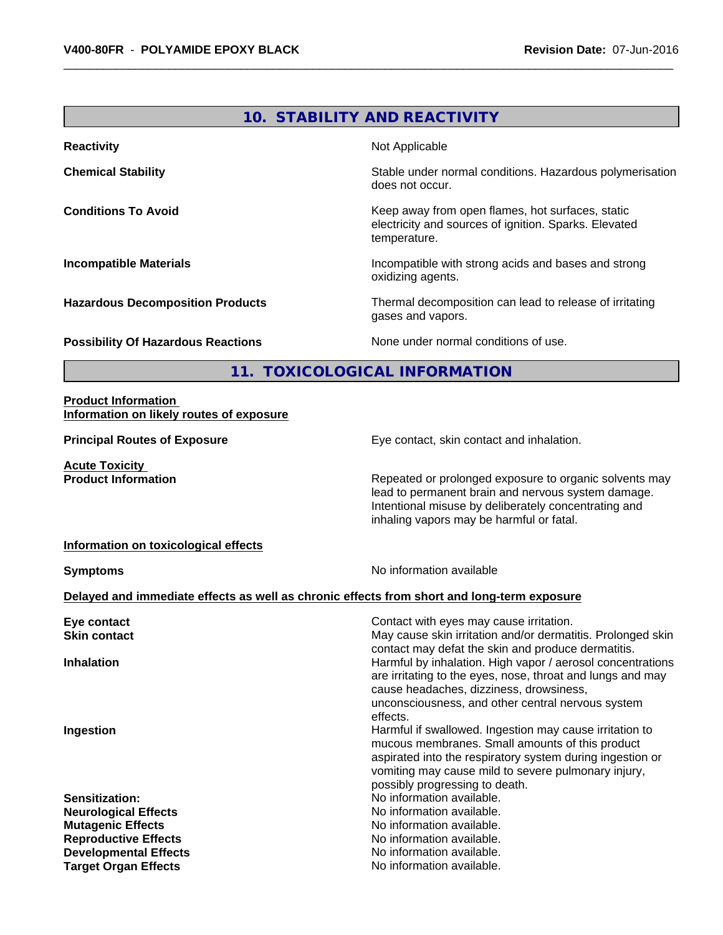# **10. STABILITY AND REACTIVITY**

| <b>Reactivity</b>                         | Not Applicable                                                                                                            |
|-------------------------------------------|---------------------------------------------------------------------------------------------------------------------------|
| <b>Chemical Stability</b>                 | Stable under normal conditions. Hazardous polymerisation<br>does not occur.                                               |
| <b>Conditions To Avoid</b>                | Keep away from open flames, hot surfaces, static<br>electricity and sources of ignition. Sparks. Elevated<br>temperature. |
| <b>Incompatible Materials</b>             | Incompatible with strong acids and bases and strong<br>oxidizing agents.                                                  |
| <b>Hazardous Decomposition Products</b>   | Thermal decomposition can lead to release of irritating<br>gases and vapors.                                              |
| <b>Possibility Of Hazardous Reactions</b> | None under normal conditions of use.                                                                                      |

**11. TOXICOLOGICAL INFORMATION**

#### **Product Information Information on likely routes of exposure**

**Acute Toxicity<br>Product Information** 

**Principal Routes of Exposure Exposure** Eye contact, skin contact and inhalation.

Repeated or prolonged exposure to organic solvents may lead to permanent brain and nervous system damage. Intentional misuse by deliberately concentrating and inhaling vapors may be harmful or fatal.

#### **Information on toxicological effects**

**Symptoms** No information available

#### **Delayed and immediate effects as well as chronic effects from short and long-term exposure**

| Eye contact                  | Contact with eyes may cause irritation.                     |
|------------------------------|-------------------------------------------------------------|
| <b>Skin contact</b>          | May cause skin irritation and/or dermatitis. Prolonged skin |
|                              | contact may defat the skin and produce dermatitis.          |
| <b>Inhalation</b>            | Harmful by inhalation. High vapor / aerosol concentrations  |
|                              | are irritating to the eyes, nose, throat and lungs and may  |
|                              | cause headaches, dizziness, drowsiness,                     |
|                              | unconsciousness, and other central nervous system           |
|                              | effects.                                                    |
| Ingestion                    | Harmful if swallowed. Ingestion may cause irritation to     |
|                              | mucous membranes. Small amounts of this product             |
|                              | aspirated into the respiratory system during ingestion or   |
|                              | vomiting may cause mild to severe pulmonary injury,         |
|                              | possibly progressing to death.                              |
| <b>Sensitization:</b>        | No information available.                                   |
| <b>Neurological Effects</b>  | No information available.                                   |
| <b>Mutagenic Effects</b>     | No information available.                                   |
| <b>Reproductive Effects</b>  | No information available.                                   |
| <b>Developmental Effects</b> | No information available.                                   |
| <b>Target Organ Effects</b>  | No information available.                                   |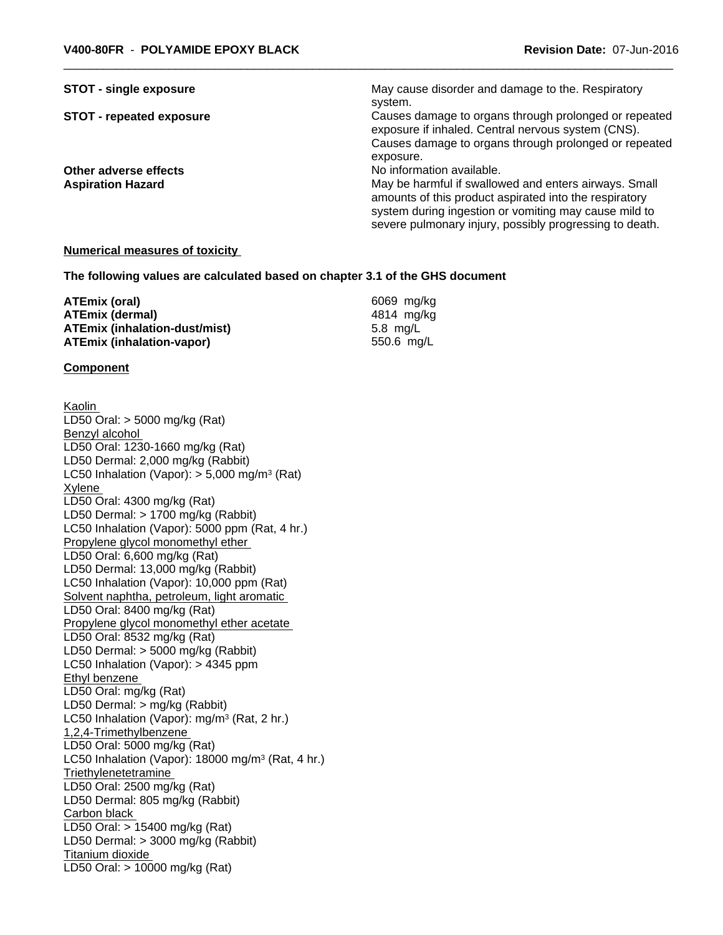| <b>STOT - single exposure</b>   | May cause disorder and damage to the. Respiratory                                                           |
|---------------------------------|-------------------------------------------------------------------------------------------------------------|
|                                 | system.                                                                                                     |
| <b>STOT - repeated exposure</b> | Causes damage to organs through prolonged or repeated<br>exposure if inhaled. Central nervous system (CNS). |
|                                 | Causes damage to organs through prolonged or repeated                                                       |
|                                 | exposure.                                                                                                   |
| Other adverse effects           | No information available.                                                                                   |
| <b>Aspiration Hazard</b>        | May be harmful if swallowed and enters airways. Small                                                       |
|                                 | amounts of this product aspirated into the respiratory                                                      |
|                                 | system during ingestion or vomiting may cause mild to                                                       |
|                                 | severe pulmonary injury, possibly progressing to death.                                                     |

#### **Numerical measures of toxicity**

**The following values are calculated based on chapter 3.1 of the GHS document**

| ATEmix (oral)                        | 6069 mg/ka |
|--------------------------------------|------------|
| ATEmix (dermal)                      | 4814 ma/ka |
| <b>ATEmix (inhalation-dust/mist)</b> | 5.8 ma/L   |
| <b>ATEmix (inhalation-vapor)</b>     | 550.6 ma/L |

#### **Component**

Kaolin LD50 Oral: > 5000 mg/kg (Rat) Benzyl alcohol LD50 Oral: 1230-1660 mg/kg (Rat) LD50 Dermal: 2,000 mg/kg (Rabbit) LC50 Inhalation (Vapor): > 5,000 mg/m<sup>3</sup> (Rat) Xylene LD50 Oral: 4300 mg/kg (Rat) LD50 Dermal: > 1700 mg/kg (Rabbit) LC50 Inhalation (Vapor): 5000 ppm (Rat, 4 hr.) Propylene glycol monomethyl ether LD50 Oral: 6,600 mg/kg (Rat) LD50 Dermal: 13,000 mg/kg (Rabbit) LC50 Inhalation (Vapor): 10,000 ppm (Rat) Solvent naphtha, petroleum, light aromatic LD50 Oral: 8400 mg/kg (Rat) Propylene glycol monomethyl ether acetate LD50 Oral: 8532 mg/kg (Rat) LD50 Dermal: > 5000 mg/kg (Rabbit) LC50 Inhalation (Vapor): > 4345 ppm Ethyl benzene LD50 Oral: mg/kg (Rat) LD50 Dermal: > mg/kg (Rabbit) LC50 Inhalation (Vapor): mg/m<sup>3</sup> (Rat, 2 hr.) 1,2,4-Trimethylbenzene LD50 Oral: 5000 mg/kg (Rat) LC50 Inhalation (Vapor): 18000 mg/m<sup>3</sup> (Rat, 4 hr.) **Triethylenetetramine** LD50 Oral: 2500 mg/kg (Rat) LD50 Dermal: 805 mg/kg (Rabbit) Carbon black LD50 Oral: > 15400 mg/kg (Rat) LD50 Dermal: > 3000 mg/kg (Rabbit) Titanium dioxide LD50 Oral: > 10000 mg/kg (Rat)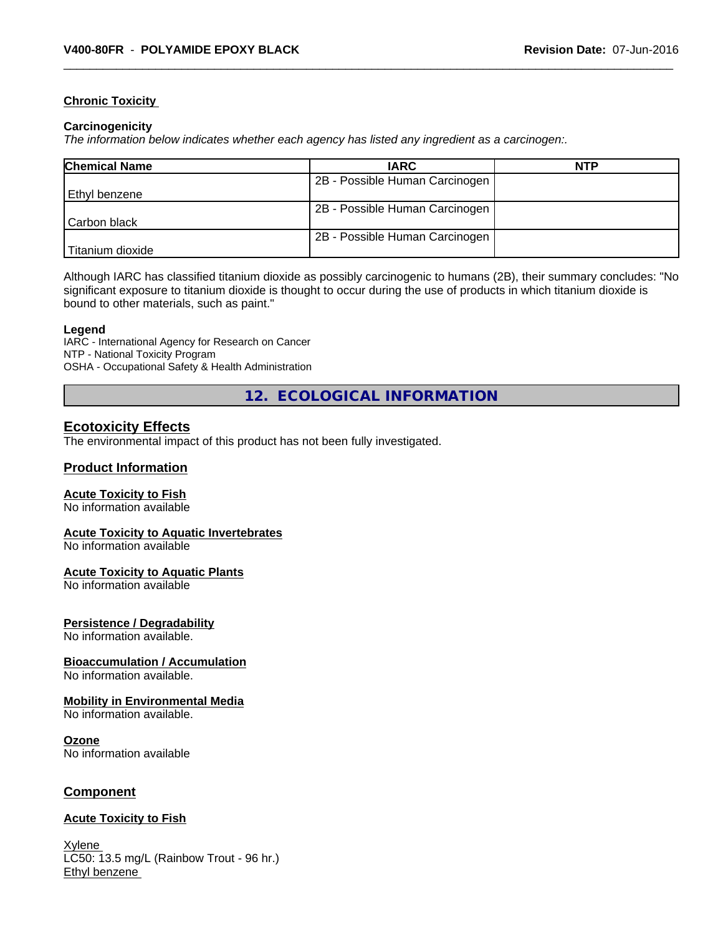#### **Chronic Toxicity**

#### **Carcinogenicity**

*The information below indicateswhether each agency has listed any ingredient as a carcinogen:.*

| <b>Chemical Name</b> | <b>IARC</b>                    | <b>NTP</b> |
|----------------------|--------------------------------|------------|
|                      | 2B - Possible Human Carcinogen |            |
| Ethyl benzene        |                                |            |
|                      | 2B - Possible Human Carcinogen |            |
| l Carbon black       |                                |            |
|                      | 2B - Possible Human Carcinogen |            |
| Titanium dioxide     |                                |            |

Although IARC has classified titanium dioxide as possibly carcinogenic to humans (2B), their summary concludes: "No significant exposure to titanium dioxide is thought to occur during the use of products in which titanium dioxide is bound to other materials, such as paint."

#### **Legend**

IARC - International Agency for Research on Cancer NTP - National Toxicity Program OSHA - Occupational Safety & Health Administration

**12. ECOLOGICAL INFORMATION**

# **Ecotoxicity Effects**

The environmental impact of this product has not been fully investigated.

#### **Product Information**

#### **Acute Toxicity to Fish**

No information available

#### **Acute Toxicity to Aquatic Invertebrates**

No information available

#### **Acute Toxicity to Aquatic Plants**

No information available

#### **Persistence / Degradability**

No information available.

# **Bioaccumulation / Accumulation**

No information available.

#### **Mobility in Environmental Media**

No information available.

#### **Ozone**

No information available

# **Component**

#### **Acute Toxicity to Fish**

Xylene LC50: 13.5 mg/L (Rainbow Trout - 96 hr.) Ethyl benzene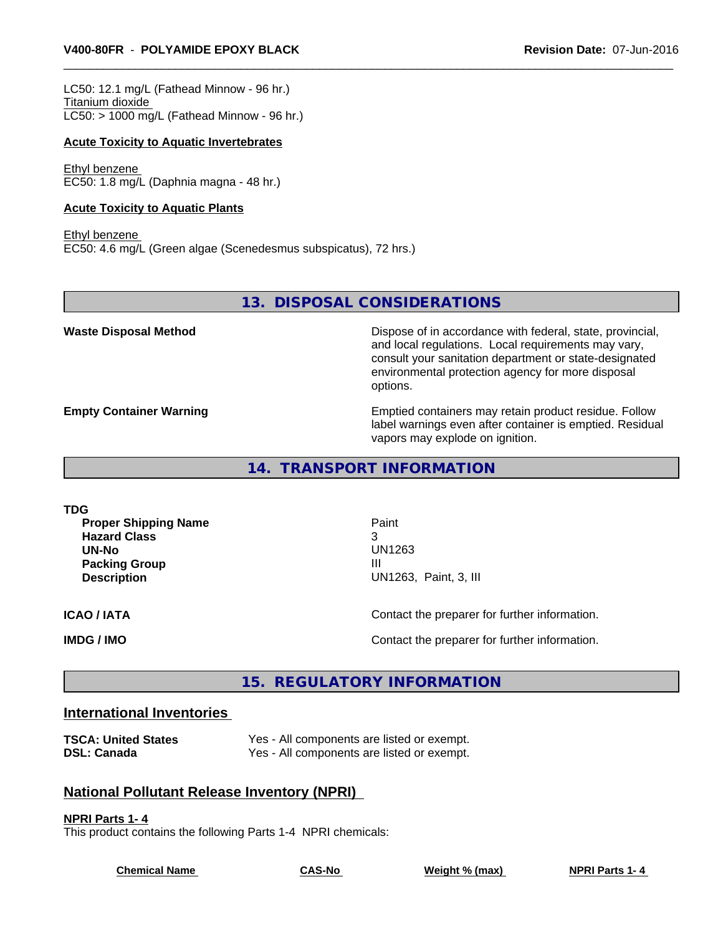LC50: 12.1 mg/L (Fathead Minnow - 96 hr.) Titanium dioxide  $LC50:$  > 1000 mg/L (Fathead Minnow - 96 hr.)

#### **Acute Toxicity to Aquatic Invertebrates**

Ethyl benzene EC50: 1.8 mg/L (Daphnia magna - 48 hr.)

#### **Acute Toxicity to Aquatic Plants**

Ethyl benzene EC50: 4.6 mg/L (Green algae (Scenedesmus subspicatus), 72 hrs.)

**13. DISPOSAL CONSIDERATIONS**

**Waste Disposal Method Dispose of in accordance with federal, state, provincial,** and local regulations. Local requirements may vary, consult your sanitation department or state-designated environmental protection agency for more disposal options.

**Empty Container Warning <b>Emptied** Containers may retain product residue. Follow label warnings even after container is emptied. Residual vapors may explode on ignition.

**14. TRANSPORT INFORMATION**

| TDG<br><b>Proper Shipping Name</b><br><b>Hazard Class</b><br>UN-No<br><b>Packing Group</b><br><b>Description</b> | Paint<br>3<br>UN1263<br>Ш<br>UN1263, Paint, 3, III |  |  |
|------------------------------------------------------------------------------------------------------------------|----------------------------------------------------|--|--|
| <b>ICAO / IATA</b>                                                                                               | Contact the preparer for further information.      |  |  |
| IMDG / IMO                                                                                                       | Contact the preparer for further information.      |  |  |

# **15. REGULATORY INFORMATION**

# **International Inventories**

| <b>TSCA: United States</b> | Yes - All components are listed or exempt. |
|----------------------------|--------------------------------------------|
| <b>DSL: Canada</b>         | Yes - All components are listed or exempt. |

# **National Pollutant Release Inventory (NPRI)**

#### **NPRI Parts 1- 4**

This product contains the following Parts 1-4 NPRI chemicals:

**Chemical Name CAS-No Weight % (max) NPRI Parts 1- 4**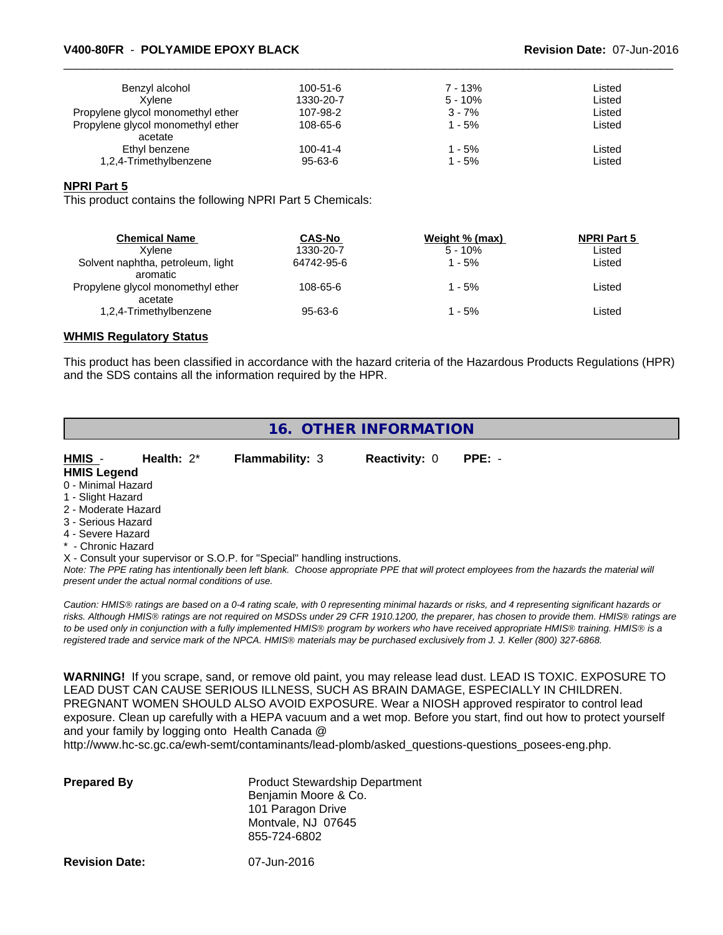## \_\_\_\_\_\_\_\_\_\_\_\_\_\_\_\_\_\_\_\_\_\_\_\_\_\_\_\_\_\_\_\_\_\_\_\_\_\_\_\_\_\_\_\_\_\_\_\_\_\_\_\_\_\_\_\_\_\_\_\_\_\_\_\_\_\_\_\_\_\_\_\_\_\_\_\_\_\_\_\_\_\_\_\_\_\_\_\_\_\_\_\_\_ **V400-80FR** - **POLYAMIDE EPOXY BLACK Revision Date:** 07-Jun-2016

| Benzyl alcohol                    | $100 - 51 - 6$ | 7 - 13%   | Listed |  |
|-----------------------------------|----------------|-----------|--------|--|
| Xvlene                            | 1330-20-7      | $5 - 10%$ | Listed |  |
| Propylene glycol monomethyl ether | 107-98-2       | $3 - 7%$  | Listed |  |
| Propylene glycol monomethyl ether | 108-65-6       | $1 - 5%$  | Listed |  |
| acetate                           |                |           |        |  |
| Ethyl benzene                     | $100 - 41 - 4$ | 1 - 5%    | Listed |  |
| 1,2,4-Trimethylbenzene            | 95-63-6        | 1 - 5%    | Listed |  |

#### **NPRI Part 5**

This product contains the following NPRI Part 5 Chemicals:

| <b>Chemical Name</b>                          | <b>CAS-No</b> | Weight % (max) | <b>NPRI Part 5</b> |  |
|-----------------------------------------------|---------------|----------------|--------------------|--|
| Xvlene                                        | 1330-20-7     | $5 - 10%$      | Listed             |  |
| Solvent naphtha, petroleum, light<br>aromatic | 64742-95-6    | - 5%           | Listed             |  |
| Propylene glycol monomethyl ether<br>acetate  | 108-65-6      | $-5\%$         | Listed             |  |
| 1,2,4-Trimethylbenzene                        | $95 - 63 - 6$ | - 5%           | ∟isted             |  |

#### **WHMIS Regulatory Status**

This product has been classified in accordance with the hazard criteria of the Hazardous Products Regulations (HPR) and the SDS contains all the information required by the HPR.

| 16. OTHER INFORMATION       |               |                        |                      |          |  |
|-----------------------------|---------------|------------------------|----------------------|----------|--|
| HMIS -                      | Health: $2^*$ | <b>Flammability: 3</b> | <b>Reactivity: 0</b> | $PPE: -$ |  |
| <b>HMIS Legend</b>          |               |                        |                      |          |  |
| 0 - Minimal Hazard          |               |                        |                      |          |  |
| 1 - Slight Hazard           |               |                        |                      |          |  |
| 2 - Moderate Hazard         |               |                        |                      |          |  |
| 3 - Serious Hazard          |               |                        |                      |          |  |
| 4 - Severe Hazard           |               |                        |                      |          |  |
| * - Chronic Hazard          |               |                        |                      |          |  |
| $\sim$ $\sim$ $\sim$ $\sim$ |               |                        |                      |          |  |

X - Consult your supervisor or S.O.P. for "Special" handling instructions.

*Note: The PPE rating has intentionally been left blank. Choose appropriate PPE that will protect employees from the hazards the material will present under the actual normal conditions of use.*

*Caution: HMISÒ ratings are based on a 0-4 rating scale, with 0 representing minimal hazards or risks, and 4 representing significant hazards or risks. Although HMISÒ ratings are not required on MSDSs under 29 CFR 1910.1200, the preparer, has chosen to provide them. HMISÒ ratings are to be used only in conjunction with a fully implemented HMISÒ program by workers who have received appropriate HMISÒ training. HMISÒ is a registered trade and service mark of the NPCA. HMISÒ materials may be purchased exclusively from J. J. Keller (800) 327-6868.*

**WARNING!** If you scrape, sand, or remove old paint, you may release lead dust. LEAD IS TOXIC. EXPOSURE TO LEAD DUST CAN CAUSE SERIOUS ILLNESS, SUCH AS BRAIN DAMAGE, ESPECIALLY IN CHILDREN. PREGNANT WOMEN SHOULD ALSO AVOID EXPOSURE.Wear a NIOSH approved respirator to control lead exposure. Clean up carefully with a HEPA vacuum and a wet mop. Before you start, find out how to protect yourself and your family by logging onto Health Canada @

http://www.hc-sc.gc.ca/ewh-semt/contaminants/lead-plomb/asked\_questions-questions\_posees-eng.php.

| <b>Prepared By</b> | <b>Product Stewardship Department</b><br>Benjamin Moore & Co. |  |
|--------------------|---------------------------------------------------------------|--|
|                    | 101 Paragon Drive                                             |  |
|                    | Montvale, NJ 07645                                            |  |
|                    | 855-724-6802                                                  |  |
|                    |                                                               |  |

**Revision Date:** 07-Jun-2016